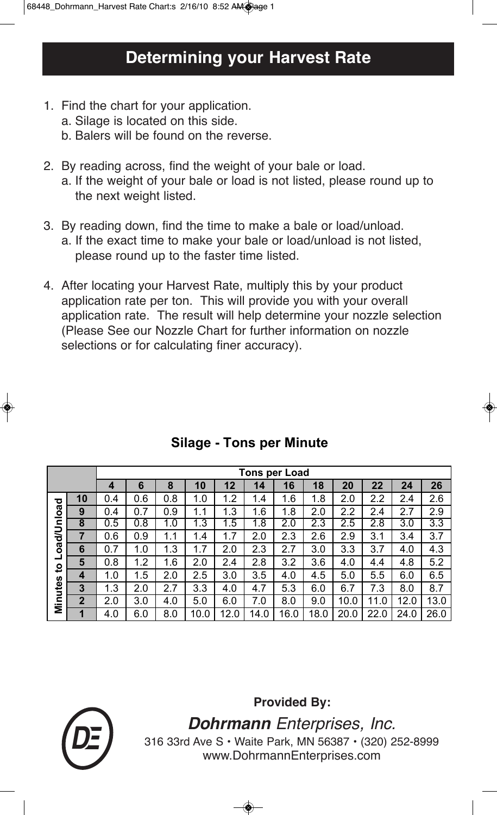- 1. Find the chart for your application.
	- a. Silage is located on this side.
	- b. Balers will be found on the reverse.
- 2. By reading across, find the weight of your bale or load. a. If the weight of your bale or load is not listed, please round up to the next weight listed.
- 3. By reading down, find the time to make a bale or load/unload. a. If the exact time to make your bale or load/unload is not listed, please round up to the faster time listed.
- 4. After locating your Harvest Rate, multiply this by your product application rate per ton. This will provide you with your overall application rate. The result will help determine your nozzle selection (Please See our Nozzle Chart for further information on nozzle selections or for calculating finer accuracy).

|                   |                | <b>Tons per Load</b> |             |     |      |      |                |      |      |          |      |      |      |
|-------------------|----------------|----------------------|-------------|-----|------|------|----------------|------|------|----------|------|------|------|
|                   |                | 4                    | 6           | 8   | 10   | 12   | 14             | 16   | 18   | 20       | 22   | 24   | 26   |
| ত                 | 10             | 0.4                  | .6<br>0.    | 0.8 | 1.0  | 1.2  | .4             | 1.6  | 1.8  | 2.0      | 2.2  | 2.4  | 2.6  |
| oad/Unloa         | 9              | 0.4                  | .7<br>0     | 0.9 | 1.1  | 1.3  | 1.6            | 1.8  | 2.0  | 2.2      | 2.4  | 2.7  | 2.9  |
|                   | 8              | 0.5                  | .8<br>U     | 1.0 | 1.3  | 1.5  | $\overline{8}$ | 2.0  | 2.3  | 2.5      | 2.8  | 3.0  | 3.3  |
|                   | 7              | 0.6                  | 0.9         | 1.1 | 1.4  | 1.7  | 2.0            | 2.3  | 2.6  | 2.9      | 3.1  | 3.4  | 3.7  |
|                   | 6              | 0.7                  | 1.0         | 1.3 | 1.7  | 2.0  | 2.3            | 2.7  | 3.0  | 3.3      | 3.7  | 4.0  | 4.3  |
| ᆜ<br>$\mathbf{S}$ | 5              | 0.8                  | $.2\,$<br>1 | 1.6 | 2.0  | 2.4  | 2.8            | 3.2  | 3.6  | 4.0      | 4.4  | 4.8  | 5.2  |
|                   | 4              | 1.0                  | .5<br>1     | 2.0 | 2.5  | 3.0  | 3.5            | 4.0  | 4.5  | 5.0      | 5.5  | 6.0  | 6.5  |
|                   | 3              | 1.3                  | 2.0         | 2.7 | 3.3  | 4.0  | 4.7            | 5.3  | 6.0  | 6.7      | 7.3  | 8.0  | 8.7  |
| Minutes           | $\overline{2}$ | 2.0                  | 3.0         | 4.0 | 5.0  | 6.0  | 7.0            | 8.0  | 9.0  | 10.0     | 11.0 | 12.0 | 13.0 |
|                   | 1              | 4.0                  | 6.0         | 8.0 | 10.0 | 12.0 | 14.0           | 16.0 | 18.0 | 20<br>.0 | 22.0 | 24.0 | 26.0 |

## **Silage - Tons per Minute**

**Provided By:**



**Dohrmann** Enterprises, Inc. 316 33rd Ave S • Waite Park, MN 56387 • (320) 252-8999 www.DohrmannEnterprises.com